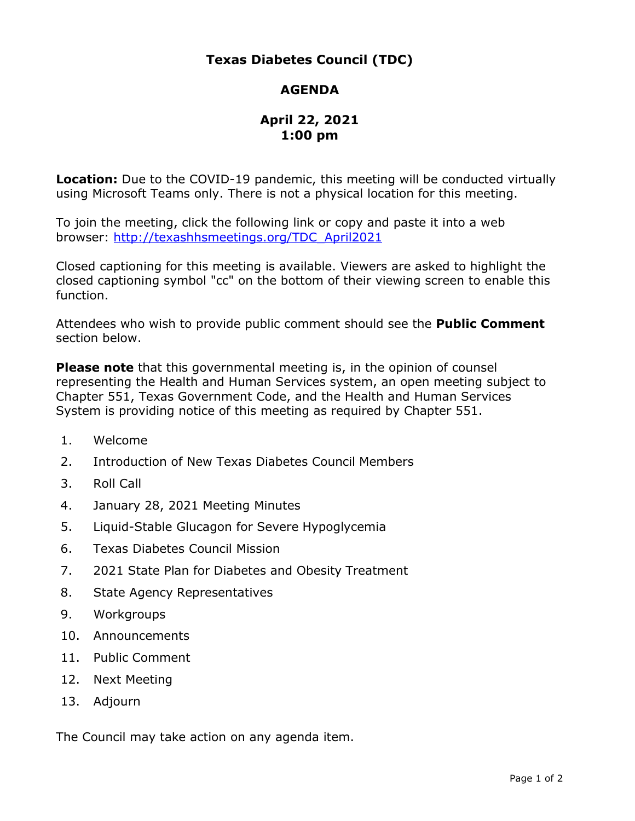## **Texas Diabetes Council (TDC)**

## **AGENDA**

## **April 22, 2021 1:00 pm**

 **Location:** Due to the COVID-19 pandemic, this meeting will be conducted virtually using Microsoft Teams only. There is not a physical location for this meeting.

 To join the meeting, click the following link or copy and paste it into a web browser: [http://texashhsmeetings.org/TDC\\_April2021](http://texashhsmeetings.org/TDC_April2021) 

 Closed captioning for this meeting is available. Viewers are asked to highlight the closed captioning symbol "cc" on the bottom of their viewing screen to enable this function.

 Attendees who wish to provide public comment should see the **Public Comment**  section below.

 **Please note** that this governmental meeting is, in the opinion of counsel representing the Health and Human Services system, an open meeting subject to Chapter 551, Texas Government Code, and the Health and Human Services System is providing notice of this meeting as required by Chapter 551.

- 1. Welcome
- 2. Introduction of New Texas Diabetes Council Members
- 3. Roll Call
- 4. January 28, 2021 Meeting Minutes
- 5. Liquid-Stable Glucagon for Severe Hypoglycemia
- 6. Texas Diabetes Council Mission
- 7. 2021 State Plan for Diabetes and Obesity Treatment
- 8. State Agency Representatives
- 9. Workgroups
- 10. Announcements
- 11. Public Comment
- 12. Next Meeting
- 13. Adjourn

The Council may take action on any agenda item.